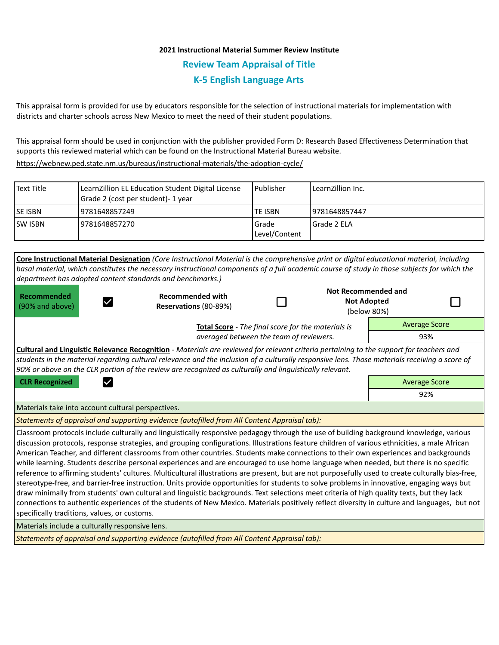# **2021 Instructional Material Summer Review Institute Review Team Appraisal of Title K-5 English Language Arts**

This appraisal form is provided for use by educators responsible for the selection of instructional materials for implementation with districts and charter schools across New Mexico to meet the need of their student populations.

This appraisal form should be used in conjunction with the publisher provided Form D: Research Based Effectiveness Determination that supports this reviewed material which can be found on the Instructional Material Bureau website.

<https://webnew.ped.state.nm.us/bureaus/instructional-materials/the-adoption-cycle/>

| Text Title     | LearnZillion EL Education Student Digital License<br>Grade 2 (cost per student)- 1 year | Publisher              | LearnZillion Inc. |
|----------------|-----------------------------------------------------------------------------------------|------------------------|-------------------|
| <b>SE ISBN</b> | 9781648857249                                                                           | <b>TE ISBN</b>         | 19781648857447    |
| <b>SW ISBN</b> | 19781648857270                                                                          | Grade<br>Level/Content | l Grade 2 ELA     |

|                                                                                                                                                                                                                                                                                                                                                                                                                                                                                                                                                                                                                                                                                                                                                                                                                                                                                                                                                                                                                                                                                                                                                                                                                         | Core Instructional Material Designation (Core Instructional Material is the comprehensive print or digital educational material, including  |  |                                                                 |                      |  |  |  |  |
|-------------------------------------------------------------------------------------------------------------------------------------------------------------------------------------------------------------------------------------------------------------------------------------------------------------------------------------------------------------------------------------------------------------------------------------------------------------------------------------------------------------------------------------------------------------------------------------------------------------------------------------------------------------------------------------------------------------------------------------------------------------------------------------------------------------------------------------------------------------------------------------------------------------------------------------------------------------------------------------------------------------------------------------------------------------------------------------------------------------------------------------------------------------------------------------------------------------------------|---------------------------------------------------------------------------------------------------------------------------------------------|--|-----------------------------------------------------------------|----------------------|--|--|--|--|
|                                                                                                                                                                                                                                                                                                                                                                                                                                                                                                                                                                                                                                                                                                                                                                                                                                                                                                                                                                                                                                                                                                                                                                                                                         | basal material, which constitutes the necessary instructional components of a full academic course of study in those subjects for which the |  |                                                                 |                      |  |  |  |  |
| department has adopted content standards and benchmarks.)                                                                                                                                                                                                                                                                                                                                                                                                                                                                                                                                                                                                                                                                                                                                                                                                                                                                                                                                                                                                                                                                                                                                                               |                                                                                                                                             |  |                                                                 |                      |  |  |  |  |
| Recommended<br>(90% and above)                                                                                                                                                                                                                                                                                                                                                                                                                                                                                                                                                                                                                                                                                                                                                                                                                                                                                                                                                                                                                                                                                                                                                                                          | <b>Recommended with</b><br>Reservations (80-89%)                                                                                            |  | <b>Not Recommended and</b><br><b>Not Adopted</b><br>(below 80%) |                      |  |  |  |  |
| Total Score - The final score for the materials is                                                                                                                                                                                                                                                                                                                                                                                                                                                                                                                                                                                                                                                                                                                                                                                                                                                                                                                                                                                                                                                                                                                                                                      |                                                                                                                                             |  |                                                                 | <b>Average Score</b> |  |  |  |  |
|                                                                                                                                                                                                                                                                                                                                                                                                                                                                                                                                                                                                                                                                                                                                                                                                                                                                                                                                                                                                                                                                                                                                                                                                                         | 93%                                                                                                                                         |  |                                                                 |                      |  |  |  |  |
| <b>Cultural and Linguistic Relevance Recognition</b> - Materials are reviewed for relevant criteria pertaining to the support for teachers and                                                                                                                                                                                                                                                                                                                                                                                                                                                                                                                                                                                                                                                                                                                                                                                                                                                                                                                                                                                                                                                                          |                                                                                                                                             |  |                                                                 |                      |  |  |  |  |
| students in the material regarding cultural relevance and the inclusion of a culturally responsive lens. Those materials receiving a score of<br>90% or above on the CLR portion of the review are recognized as culturally and linguistically relevant.                                                                                                                                                                                                                                                                                                                                                                                                                                                                                                                                                                                                                                                                                                                                                                                                                                                                                                                                                                |                                                                                                                                             |  |                                                                 |                      |  |  |  |  |
| <b>CLR Recognized</b><br>$\checkmark$                                                                                                                                                                                                                                                                                                                                                                                                                                                                                                                                                                                                                                                                                                                                                                                                                                                                                                                                                                                                                                                                                                                                                                                   | <b>Average Score</b>                                                                                                                        |  |                                                                 |                      |  |  |  |  |
|                                                                                                                                                                                                                                                                                                                                                                                                                                                                                                                                                                                                                                                                                                                                                                                                                                                                                                                                                                                                                                                                                                                                                                                                                         |                                                                                                                                             |  |                                                                 | 92%                  |  |  |  |  |
| Materials take into account cultural perspectives.                                                                                                                                                                                                                                                                                                                                                                                                                                                                                                                                                                                                                                                                                                                                                                                                                                                                                                                                                                                                                                                                                                                                                                      |                                                                                                                                             |  |                                                                 |                      |  |  |  |  |
| Statements of appraisal and supporting evidence (autofilled from All Content Appraisal tab):                                                                                                                                                                                                                                                                                                                                                                                                                                                                                                                                                                                                                                                                                                                                                                                                                                                                                                                                                                                                                                                                                                                            |                                                                                                                                             |  |                                                                 |                      |  |  |  |  |
| Classroom protocols include culturally and linguistically responsive pedagogy through the use of building background knowledge, various<br>discussion protocols, response strategies, and grouping configurations. Illustrations feature children of various ethnicities, a male African<br>American Teacher, and different classrooms from other countries. Students make connections to their own experiences and backgrounds<br>while learning. Students describe personal experiences and are encouraged to use home language when needed, but there is no specific<br>reference to affirming students' cultures. Multicultural illustrations are present, but are not purposefully used to create culturally bias-free,<br>stereotype-free, and barrier-free instruction. Units provide opportunities for students to solve problems in innovative, engaging ways but<br>draw minimally from students' own cultural and linguistic backgrounds. Text selections meet criteria of high quality texts, but they lack<br>connections to authentic experiences of the students of New Mexico. Materials positively reflect diversity in culture and languages, but not<br>specifically traditions, values, or customs. |                                                                                                                                             |  |                                                                 |                      |  |  |  |  |
| Materials include a culturally responsive lens.                                                                                                                                                                                                                                                                                                                                                                                                                                                                                                                                                                                                                                                                                                                                                                                                                                                                                                                                                                                                                                                                                                                                                                         |                                                                                                                                             |  |                                                                 |                      |  |  |  |  |
| Statements of appraisal and supporting evidence (autofilled from All Content Appraisal tab):                                                                                                                                                                                                                                                                                                                                                                                                                                                                                                                                                                                                                                                                                                                                                                                                                                                                                                                                                                                                                                                                                                                            |                                                                                                                                             |  |                                                                 |                      |  |  |  |  |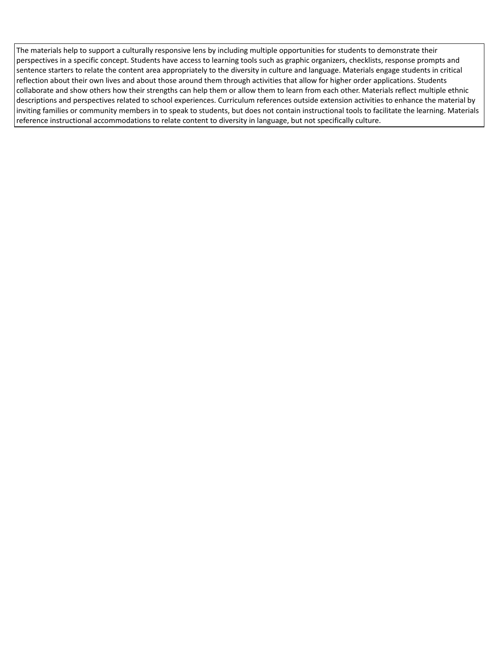The materials help to support a culturally responsive lens by including multiple opportunities for students to demonstrate their perspectives in a specific concept. Students have access to learning tools such as graphic organizers, checklists, response prompts and sentence starters to relate the content area appropriately to the diversity in culture and language. Materials engage students in critical reflection about their own lives and about those around them through activities that allow for higher order applications. Students collaborate and show others how their strengths can help them or allow them to learn from each other. Materials reflect multiple ethnic descriptions and perspectives related to school experiences. Curriculum references outside extension activities to enhance the material by inviting families or community members in to speak to students, but does not contain instructional tools to facilitate the learning. Materials reference instructional accommodations to relate content to diversity in language, but not specifically culture.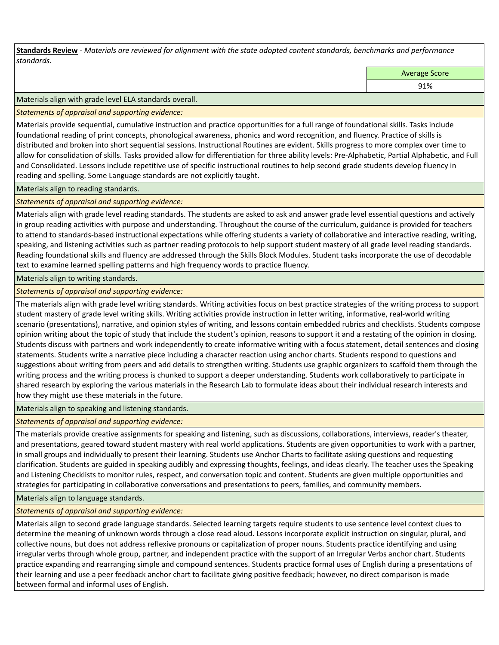**Standards Review** *- Materials are reviewed for alignment with the state adopted content standards, benchmarks and performance standards.*

Average Score

91%

Materials align with grade level ELA standards overall.

*Statements of appraisal and supporting evidence:* 

Materials provide sequential, cumulative instruction and practice opportunities for a full range of foundational skills. Tasks include foundational reading of print concepts, phonological awareness, phonics and word recognition, and fluency. Practice of skills is distributed and broken into short sequential sessions. Instructional Routines are evident. Skills progress to more complex over time to allow for consolidation of skills. Tasks provided allow for differentiation for three ability levels: Pre-Alphabetic, Partial Alphabetic, and Full and Consolidated. Lessons include repetitive use of specific instructional routines to help second grade students develop fluency in reading and spelling. Some Language standards are not explicitly taught.

Materials align to reading standards.

*Statements of appraisal and supporting evidence:* 

Materials align with grade level reading standards. The students are asked to ask and answer grade level essential questions and actively in group reading activities with purpose and understanding. Throughout the course of the curriculum, guidance is provided for teachers to attend to standards-based instructional expectations while offering students a variety of collaborative and interactive reading, writing, speaking, and listening activities such as partner reading protocols to help support student mastery of all grade level reading standards. Reading foundational skills and fluency are addressed through the Skills Block Modules. Student tasks incorporate the use of decodable text to examine learned spelling patterns and high frequency words to practice fluency.

Materials align to writing standards.

*Statements of appraisal and supporting evidence:* 

The materials align with grade level writing standards. Writing activities focus on best practice strategies of the writing process to support student mastery of grade level writing skills. Writing activities provide instruction in letter writing, informative, real-world writing scenario (presentations), narrative, and opinion styles of writing, and lessons contain embedded rubrics and checklists. Students compose opinion writing about the topic of study that include the student's opinion, reasons to support it and a restating of the opinion in closing. Students discuss with partners and work independently to create informative writing with a focus statement, detail sentences and closing statements. Students write a narrative piece including a character reaction using anchor charts. Students respond to questions and suggestions about writing from peers and add details to strengthen writing. Students use graphic organizers to scaffold them through the writing process and the writing process is chunked to support a deeper understanding. Students work collaboratively to participate in shared research by exploring the various materials in the Research Lab to formulate ideas about their individual research interests and how they might use these materials in the future.

# Materials align to speaking and listening standards.

*Statements of appraisal and supporting evidence:* 

The materials provide creative assignments for speaking and listening, such as discussions, collaborations, interviews, reader's theater, and presentations, geared toward student mastery with real world applications. Students are given opportunities to work with a partner, in small groups and individually to present their learning. Students use Anchor Charts to facilitate asking questions and requesting clarification. Students are guided in speaking audibly and expressing thoughts, feelings, and ideas clearly. The teacher uses the Speaking and Listening Checklists to monitor rules, respect, and conversation topic and content. Students are given multiple opportunities and strategies for participating in collaborative conversations and presentations to peers, families, and community members.

Materials align to language standards.

*Statements of appraisal and supporting evidence:* 

Materials align to second grade language standards. Selected learning targets require students to use sentence level context clues to determine the meaning of unknown words through a close read aloud. Lessons incorporate explicit instruction on singular, plural, and collective nouns, but does not address reflexive pronouns or capitalization of proper nouns. Students practice identifying and using irregular verbs through whole group, partner, and independent practice with the support of an Irregular Verbs anchor chart. Students practice expanding and rearranging simple and compound sentences. Students practice formal uses of English during a presentations of their learning and use a peer feedback anchor chart to facilitate giving positive feedback; however, no direct comparison is made between formal and informal uses of English.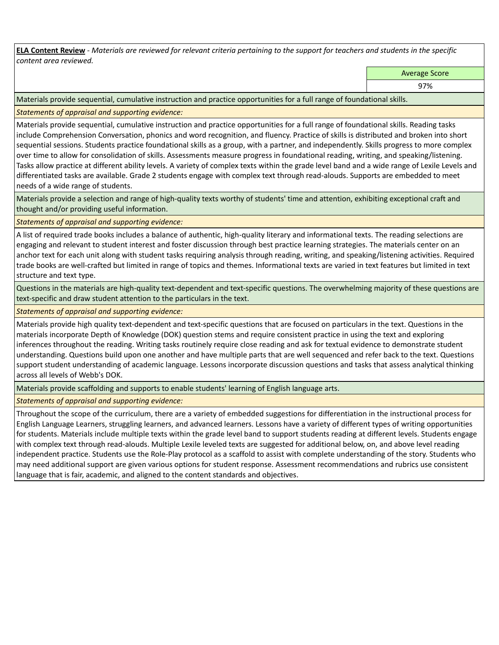**ELA Content Review** *- Materials are reviewed for relevant criteria pertaining to the support for teachers and students in the specific content area reviewed.*

Average Score

97%

Materials provide sequential, cumulative instruction and practice opportunities for a full range of foundational skills.

*Statements of appraisal and supporting evidence:* 

Materials provide sequential, cumulative instruction and practice opportunities for a full range of foundational skills. Reading tasks include Comprehension Conversation, phonics and word recognition, and fluency. Practice of skills is distributed and broken into short sequential sessions. Students practice foundational skills as a group, with a partner, and independently. Skills progress to more complex over time to allow for consolidation of skills. Assessments measure progress in foundational reading, writing, and speaking/listening. Tasks allow practice at different ability levels. A variety of complex texts within the grade level band and a wide range of Lexile Levels and differentiated tasks are available. Grade 2 students engage with complex text through read-alouds. Supports are embedded to meet needs of a wide range of students.

Materials provide a selection and range of high-quality texts worthy of students' time and attention, exhibiting exceptional craft and thought and/or providing useful information.

*Statements of appraisal and supporting evidence:* 

A list of required trade books includes a balance of authentic, high-quality literary and informational texts. The reading selections are engaging and relevant to student interest and foster discussion through best practice learning strategies. The materials center on an anchor text for each unit along with student tasks requiring analysis through reading, writing, and speaking/listening activities. Required trade books are well-crafted but limited in range of topics and themes. Informational texts are varied in text features but limited in text structure and text type.

Questions in the materials are high-quality text-dependent and text-specific questions. The overwhelming majority of these questions are text-specific and draw student attention to the particulars in the text.

*Statements of appraisal and supporting evidence:* 

Materials provide high quality text-dependent and text-specific questions that are focused on particulars in the text. Questions in the materials incorporate Depth of Knowledge (DOK) question stems and require consistent practice in using the text and exploring inferences throughout the reading. Writing tasks routinely require close reading and ask for textual evidence to demonstrate student understanding. Questions build upon one another and have multiple parts that are well sequenced and refer back to the text. Questions support student understanding of academic language. Lessons incorporate discussion questions and tasks that assess analytical thinking across all levels of Webb's DOK.

Materials provide scaffolding and supports to enable students' learning of English language arts.

*Statements of appraisal and supporting evidence:* 

Throughout the scope of the curriculum, there are a variety of embedded suggestions for differentiation in the instructional process for English Language Learners, struggling learners, and advanced learners. Lessons have a variety of different types of writing opportunities for students. Materials include multiple texts within the grade level band to support students reading at different levels. Students engage with complex text through read-alouds. Multiple Lexile leveled texts are suggested for additional below, on, and above level reading independent practice. Students use the Role-Play protocol as a scaffold to assist with complete understanding of the story. Students who may need additional support are given various options for student response. Assessment recommendations and rubrics use consistent language that is fair, academic, and aligned to the content standards and objectives.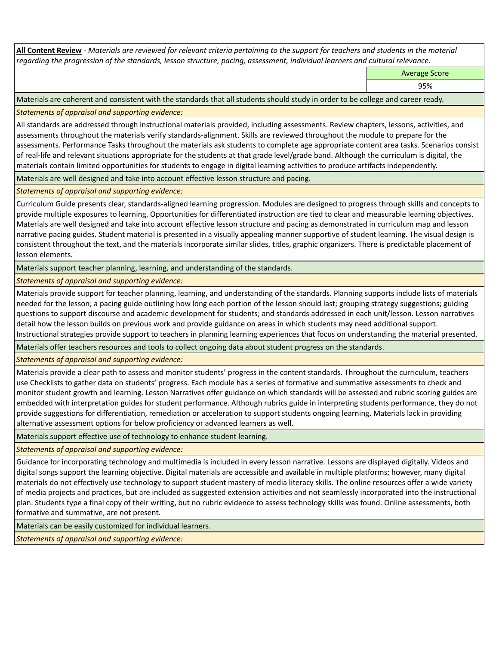**All Content Review** *- Materials are reviewed for relevant criteria pertaining to the support for teachers and students in the material regarding the progression of the standards, lesson structure, pacing, assessment, individual learners and cultural relevance.*

Average Score

95%

Materials are coherent and consistent with the standards that all students should study in order to be college and career ready.

*Statements of appraisal and supporting evidence:*

All standards are addressed through instructional materials provided, including assessments. Review chapters, lessons, activities, and assessments throughout the materials verify standards-alignment. Skills are reviewed throughout the module to prepare for the assessments. Performance Tasks throughout the materials ask students to complete age appropriate content area tasks. Scenarios consist of real-life and relevant situations appropriate for the students at that grade level/grade band. Although the curriculum is digital, the materials contain limited opportunities for students to engage in digital learning activities to produce artifacts independently.

Materials are well designed and take into account effective lesson structure and pacing.

*Statements of appraisal and supporting evidence:*

Curriculum Guide presents clear, standards-aligned learning progression. Modules are designed to progress through skills and concepts to provide multiple exposures to learning. Opportunities for differentiated instruction are tied to clear and measurable learning objectives. Materials are well designed and take into account effective lesson structure and pacing as demonstrated in curriculum map and lesson narrative pacing guides. Student material is presented in a visually appealing manner supportive of student learning. The visual design is consistent throughout the text, and the materials incorporate similar slides, titles, graphic organizers. There is predictable placement of lesson elements.

Materials support teacher planning, learning, and understanding of the standards.

*Statements of appraisal and supporting evidence:*

Materials provide support for teacher planning, learning, and understanding of the standards. Planning supports include lists of materials needed for the lesson; a pacing guide outlining how long each portion of the lesson should last; grouping strategy suggestions; guiding questions to support discourse and academic development for students; and standards addressed in each unit/lesson. Lesson narratives detail how the lesson builds on previous work and provide guidance on areas in which students may need additional support. Instructional strategies provide support to teachers in planning learning experiences that focus on understanding the material presented.

Materials offer teachers resources and tools to collect ongoing data about student progress on the standards.

*Statements of appraisal and supporting evidence:*

Materials provide a clear path to assess and monitor students' progress in the content standards. Throughout the curriculum, teachers use Checklists to gather data on students' progress. Each module has a series of formative and summative assessments to check and monitor student growth and learning. Lesson Narratives offer guidance on which standards will be assessed and rubric scoring guides are embedded with interpretation guides for student performance. Although rubrics guide in interpreting students performance, they do not provide suggestions for differentiation, remediation or acceleration to support students ongoing learning. Materials lack in providing alternative assessment options for below proficiency or advanced learners as well.

Materials support effective use of technology to enhance student learning.

*Statements of appraisal and supporting evidence:*

Guidance for incorporating technology and multimedia is included in every lesson narrative. Lessons are displayed digitally. Videos and digital songs support the learning objective. Digital materials are accessible and available in multiple platforms; however, many digital materials do not effectively use technology to support student mastery of media literacy skills. The online resources offer a wide variety of media projects and practices, but are included as suggested extension activities and not seamlessly incorporated into the instructional plan. Students type a final copy of their writing, but no rubric evidence to assess technology skills was found. Online assessments, both formative and summative, are not present.

Materials can be easily customized for individual learners.

*Statements of appraisal and supporting evidence:*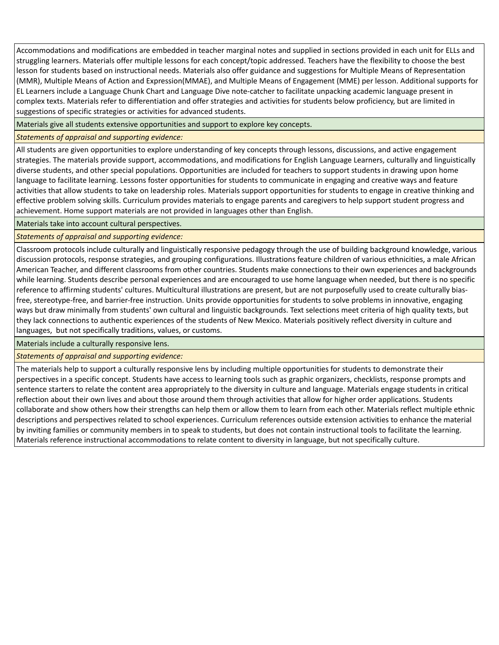Accommodations and modifications are embedded in teacher marginal notes and supplied in sections provided in each unit for ELLs and struggling learners. Materials offer multiple lessons for each concept/topic addressed. Teachers have the flexibility to choose the best lesson for students based on instructional needs. Materials also offer guidance and suggestions for Multiple Means of Representation (MMR), Multiple Means of Action and Expression(MMAE), and Multiple Means of Engagement (MME) per lesson. Additional supports for EL Learners include a Language Chunk Chart and Language Dive note-catcher to facilitate unpacking academic language present in complex texts. Materials refer to differentiation and offer strategies and activities for students below proficiency, but are limited in suggestions of specific strategies or activities for advanced students.

Materials give all students extensive opportunities and support to explore key concepts.

# *Statements of appraisal and supporting evidence:*

All students are given opportunities to explore understanding of key concepts through lessons, discussions, and active engagement strategies. The materials provide support, accommodations, and modifications for English Language Learners, culturally and linguistically diverse students, and other special populations. Opportunities are included for teachers to support students in drawing upon home language to facilitate learning. Lessons foster opportunities for students to communicate in engaging and creative ways and feature activities that allow students to take on leadership roles. Materials support opportunities for students to engage in creative thinking and effective problem solving skills. Curriculum provides materials to engage parents and caregivers to help support student progress and achievement. Home support materials are not provided in languages other than English.

Materials take into account cultural perspectives.

# *Statements of appraisal and supporting evidence:*

Classroom protocols include culturally and linguistically responsive pedagogy through the use of building background knowledge, various discussion protocols, response strategies, and grouping configurations. Illustrations feature children of various ethnicities, a male African American Teacher, and different classrooms from other countries. Students make connections to their own experiences and backgrounds while learning. Students describe personal experiences and are encouraged to use home language when needed, but there is no specific reference to affirming students' cultures. Multicultural illustrations are present, but are not purposefully used to create culturally biasfree, stereotype-free, and barrier-free instruction. Units provide opportunities for students to solve problems in innovative, engaging ways but draw minimally from students' own cultural and linguistic backgrounds. Text selections meet criteria of high quality texts, but they lack connections to authentic experiences of the students of New Mexico. Materials positively reflect diversity in culture and languages, but not specifically traditions, values, or customs.

Materials include a culturally responsive lens.

# *Statements of appraisal and supporting evidence:*

The materials help to support a culturally responsive lens by including multiple opportunities for students to demonstrate their perspectives in a specific concept. Students have access to learning tools such as graphic organizers, checklists, response prompts and sentence starters to relate the content area appropriately to the diversity in culture and language. Materials engage students in critical reflection about their own lives and about those around them through activities that allow for higher order applications. Students collaborate and show others how their strengths can help them or allow them to learn from each other. Materials reflect multiple ethnic descriptions and perspectives related to school experiences. Curriculum references outside extension activities to enhance the material by inviting families or community members in to speak to students, but does not contain instructional tools to facilitate the learning. Materials reference instructional accommodations to relate content to diversity in language, but not specifically culture.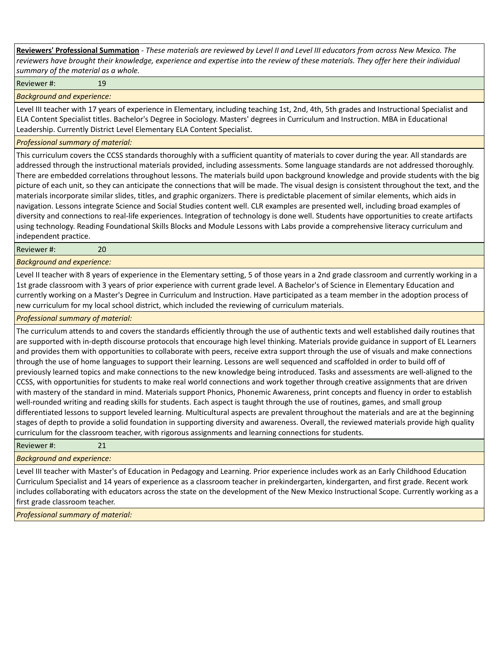**Reviewers' Professional Summation** *- These materials are reviewed by Level II and Level III educators from across New Mexico. The reviewers have brought their knowledge, experience and expertise into the review of these materials. They offer here their individual summary of the material as a whole.*

Reviewer #: 19

*Background and experience:*

Level III teacher with 17 years of experience in Elementary, including teaching 1st, 2nd, 4th, 5th grades and Instructional Specialist and ELA Content Specialist titles. Bachelor's Degree in Sociology. Masters' degrees in Curriculum and Instruction. MBA in Educational Leadership. Currently District Level Elementary ELA Content Specialist.

### *Professional summary of material:*

This curriculum covers the CCSS standards thoroughly with a sufficient quantity of materials to cover during the year. All standards are addressed through the instructional materials provided, including assessments. Some language standards are not addressed thoroughly. There are embedded correlations throughout lessons. The materials build upon background knowledge and provide students with the big picture of each unit, so they can anticipate the connections that will be made. The visual design is consistent throughout the text, and the materials incorporate similar slides, titles, and graphic organizers. There is predictable placement of similar elements, which aids in navigation. Lessons integrate Science and Social Studies content well. CLR examples are presented well, including broad examples of diversity and connections to real-life experiences. Integration of technology is done well. Students have opportunities to create artifacts using technology. Reading Foundational Skills Blocks and Module Lessons with Labs provide a comprehensive literacy curriculum and independent practice.

Reviewer #: 20

*Background and experience:*

Level II teacher with 8 years of experience in the Elementary setting, 5 of those years in a 2nd grade classroom and currently working in a 1st grade classroom with 3 years of prior experience with current grade level. A Bachelor's of Science in Elementary Education and currently working on a Master's Degree in Curriculum and Instruction. Have participated as a team member in the adoption process of new curriculum for my local school district, which included the reviewing of curriculum materials.

### *Professional summary of material:*

The curriculum attends to and covers the standards efficiently through the use of authentic texts and well established daily routines that are supported with in-depth discourse protocols that encourage high level thinking. Materials provide guidance in support of EL Learners and provides them with opportunities to collaborate with peers, receive extra support through the use of visuals and make connections through the use of home languages to support their learning. Lessons are well sequenced and scaffolded in order to build off of previously learned topics and make connections to the new knowledge being introduced. Tasks and assessments are well-aligned to the CCSS, with opportunities for students to make real world connections and work together through creative assignments that are driven with mastery of the standard in mind. Materials support Phonics, Phonemic Awareness, print concepts and fluency in order to establish well-rounded writing and reading skills for students. Each aspect is taught through the use of routines, games, and small group differentiated lessons to support leveled learning. Multicultural aspects are prevalent throughout the materials and are at the beginning stages of depth to provide a solid foundation in supporting diversity and awareness. Overall, the reviewed materials provide high quality curriculum for the classroom teacher, with rigorous assignments and learning connections for students.

Reviewer #: 21

*Background and experience:*

Level III teacher with Master's of Education in Pedagogy and Learning. Prior experience includes work as an Early Childhood Education Curriculum Specialist and 14 years of experience as a classroom teacher in prekindergarten, kindergarten, and first grade. Recent work includes collaborating with educators across the state on the development of the New Mexico Instructional Scope. Currently working as a first grade classroom teacher.

*Professional summary of material:*